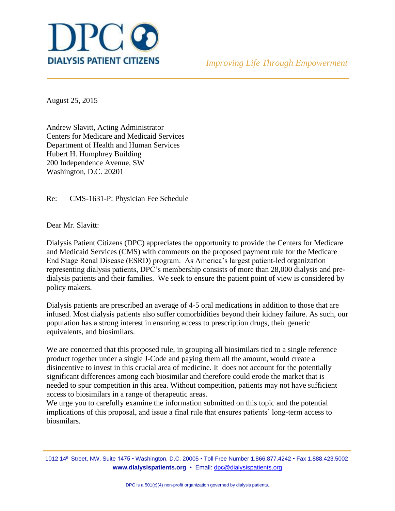

August 25, 2015

Andrew Slavitt, Acting Administrator Centers for Medicare and Medicaid Services Department of Health and Human Services Hubert H. Humphrey Building 200 Independence Avenue, SW Washington, D.C. 20201

Re: CMS-1631-P: Physician Fee Schedule

Dear Mr. Slavitt:

Dialysis Patient Citizens (DPC) appreciates the opportunity to provide the Centers for Medicare and Medicaid Services (CMS) with comments on the proposed payment rule for the Medicare End Stage Renal Disease (ESRD) program. As America's largest patient-led organization representing dialysis patients, DPC's membership consists of more than 28,000 dialysis and predialysis patients and their families. We seek to ensure the patient point of view is considered by policy makers.

Dialysis patients are prescribed an average of 4-5 oral medications in addition to those that are infused. Most dialysis patients also suffer comorbidities beyond their kidney failure. As such, our population has a strong interest in ensuring access to prescription drugs, their generic equivalents, and biosimilars.

We are concerned that this proposed rule, in grouping all biosimilars tied to a single reference product together under a single J-Code and paying them all the amount, would create a disincentive to invest in this crucial area of medicine. It does not account for the potentially significant differences among each biosimilar and therefore could erode the market that is needed to spur competition in this area. Without competition, patients may not have sufficient access to biosimilars in a range of therapeutic areas.

We urge you to carefully examine the information submitted on this topic and the potential implications of this proposal, and issue a final rule that ensures patients' long-term access to biosmilars.

1012 14th Street, NW, Suite 1475 • Washington, D.C. 20005 • Toll Free Number 1.866.877.4242 • Fax 1.888.423.5002 **www.dialysispatients.org** • Email[: dpc@dialysispatients.org](mailto:dpc@dialysispatients.org)